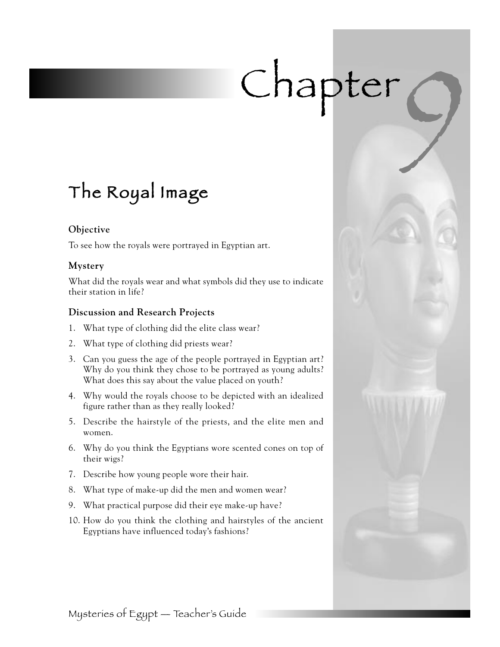# Chapter

# The Royal Image

# **Objective**

To see how the royals were portrayed in Egyptian art.

# **Mystery**

What did the royals wear and what symbols did they use to indicate their station in life?

# **Discussion and Research Projects**

- 1. What type of clothing did the elite class wear?
- 2. What type of clothing did priests wear?
- 3. Can you guess the age of the people portrayed in Egyptian art? Why do you think they chose to be portrayed as young adults? What does this say about the value placed on youth?
- 4. Why would the royals choose to be depicted with an idealized figure rather than as they really looked?
- 5. Describe the hairstyle of the priests, and the elite men and women.
- 6. Why do you think the Egyptians wore scented cones on top of their wigs?
- 7. Describe how young people wore their hair.
- 8. What type of make-up did the men and women wear?
- 9. What practical purpose did their eye make-up have?
- 10. How do you think the clothing and hairstyles of the ancient Egyptians have influenced today's fashions?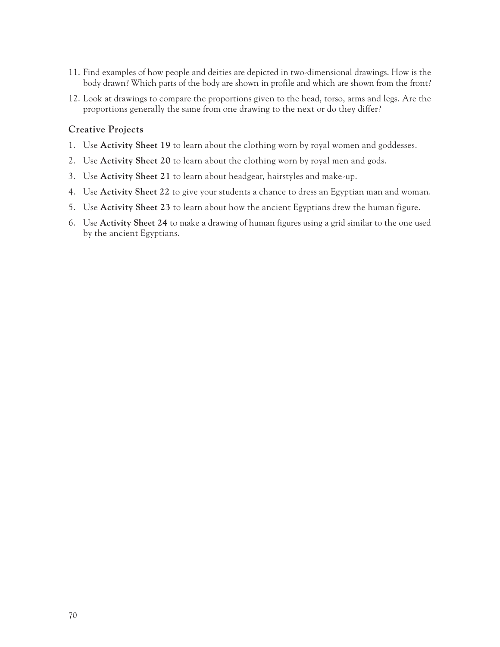- 11. Find examples of how people and deities are depicted in two-dimensional drawings. How is the body drawn? Which parts of the body are shown in profile and which are shown from the front?
- 12. Look at drawings to compare the proportions given to the head, torso, arms and legs. Are the proportions generally the same from one drawing to the next or do they differ?

## **Creative Projects**

- 1. Use **Activity Sheet 19** to learn about the clothing worn by royal women and goddesses.
- 2. Use **Activity Sheet 20** to learn about the clothing worn by royal men and gods.
- 3. Use **Activity Sheet 21** to learn about headgear, hairstyles and make-up.
- 4. Use **Activity Sheet 22** to give your students a chance to dress an Egyptian man and woman.
- 5. Use **Activity Sheet 23** to learn about how the ancient Egyptians drew the human figure.
- 6. Use **Activity Sheet 24** to make a drawing of human figures using a grid similar to the one used by the ancient Egyptians.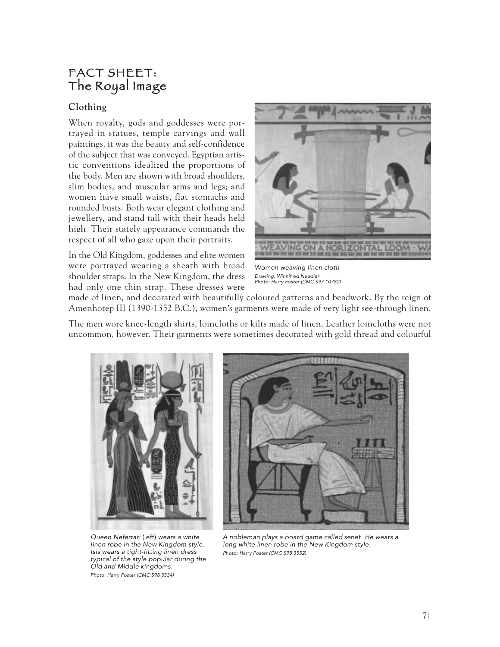# FACT SHEET: The Royal Image

# **Clothing**

When royalty, gods and goddesses were portrayed in statues, temple carvings and wall paintings, it was the beauty and self-confidence of the subject that was conveyed. Egyptian artistic conventions idealized the proportions of the body. Men are shown with broad shoulders, slim bodies, and muscular arms and legs; and women have small waists, flat stomachs and rounded busts. Both wear elegant clothing and jewellery, and stand tall with their heads held high. Their stately appearance commands the respect of all who gaze upon their portraits.

In the Old Kingdom, goddesses and elite women were portrayed wearing a sheath with broad shoulder straps. In the New Kingdom, the dress had only one thin strap. These dresses were



Women weaving linen cloth Drawing: Winnifred Needler Photo: Harry Foster (CMC S97 10782)

made of linen, and decorated with beautifully coloured patterns and beadwork. By the reign of Amenhotep III (1390-1352 B.C.), women's garments were made of very light see-through linen.

The men wore knee-length shirts, loincloths or kilts made of linen. Leather loincloths were not uncommon, however. Their garments were sometimes decorated with gold thread and colourful



Queen Nefertari (left) wears a white linen robe in the New Kingdom style. Isis wears a tight-fitting linen dress typical of the style popular during the Old and Middle kingdoms. Photo: Harry Foster (CMC S98 3534)



A nobleman plays a board game called senet. He wears a long white linen robe in the New Kingdom style. Photo: Harry Foster (CMC S98 3552)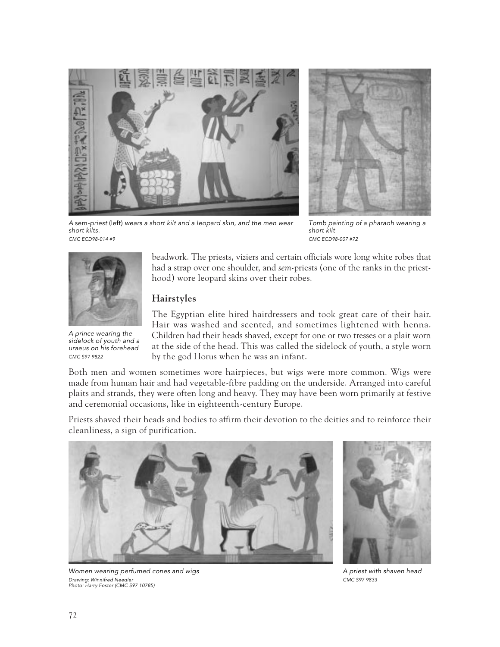



<sup>A</sup>sem-priest (left) wears a short kilt and a leopard skin, and the men wear short kilts. CMC ECD98-014 #9

Tomb painting of a pharaoh wearing a short kilt CMC ECD98-007 #72



A prince wearing the sidelock of youth and a uraeus on his forehead CMC S97 9822

beadwork. The priests, viziers and certain officials wore long white robes that had a strap over one shoulder, and *sem*-priests (one of the ranks in the priesthood) wore leopard skins over their robes.

# **Hairstyles**

The Egyptian elite hired hairdressers and took great care of their hair. Hair was washed and scented, and sometimes lightened with henna. Children had their heads shaved, except for one or two tresses or a plait worn at the side of the head. This was called the sidelock of youth, a style worn by the god Horus when he was an infant.

Both men and women sometimes wore hairpieces, but wigs were more common. Wigs were made from human hair and had vegetable-fibre padding on the underside. Arranged into careful plaits and strands, they were often long and heavy. They may have been worn primarily at festive and ceremonial occasions, like in eighteenth-century Europe.

Priests shaved their heads and bodies to affirm their devotion to the deities and to reinforce their cleanliness, a sign of purification.





A priest with shaven head CMC S97 9833

Women wearing perfumed cones and wigs Drawing: Winnifred Needler Photo: Harry Foster (CMC S97 10785)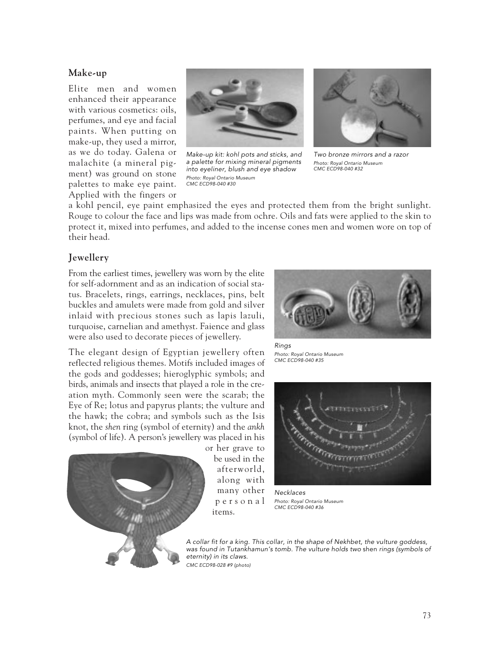#### **Make-up**

Elite men and women enhanced their appearance with various cosmetics: oils, perfumes, and eye and facial paints. When putting on make-up, they used a mirror, as we do today. Galena or malachite (a mineral pigment) was ground on stone palettes to make eye paint. Applied with the fingers or



Make-up kit: kohl pots and sticks, and a palette for mixing mineral pigments into eyeliner, blush and eye shadow Photo: Royal Ontario Museum CMC ECD98-040 #30



Two bronze mirrors and a razor Photo: Royal Ontario Museum CMC ECD98-040 #32

a kohl pencil, eye paint emphasized the eyes and protected them from the bright sunlight. Rouge to colour the face and lips was made from ochre. Oils and fats were applied to the skin to protect it, mixed into perfumes, and added to the incense cones men and women wore on top of their head.

### **Jewellery**

From the earliest times, jewellery was worn by the elite for self-adornment and as an indication of social status. Bracelets, rings, earrings, necklaces, pins, belt buckles and amulets were made from gold and silver inlaid with precious stones such as lapis lazuli, turquoise, carnelian and amethyst. Faience and glass were also used to decorate pieces of jewellery.

The elegant design of Egyptian jewellery often reflected religious themes. Motifs included images of the gods and goddesses; hieroglyphic symbols; and birds, animals and insects that played a role in the creation myth. Commonly seen were the scarab; the Eye of Re; lotus and papyrus plants; the vulture and the hawk; the cobra; and symbols such as the Isis knot, the *shen* ring (symbol of eternity) and the *ankh* (symbol of life). A person's jewellery was placed in his



or her grave to be used in the afterworld, along with many other personal items.



Rings Photo: Royal Ontario Museum CMC ECD98-040 #35



**Necklaces** Photo: Royal Ontario Museum CMC ECD98-040 #36

A collar fit for a king. This collar, in the shape of Nekhbet, the vulture goddess, was found in Tutankhamun's tomb. The vulture holds two shen rings (symbols of eternity) in its claws. CMC ECD98-028 #9 (photo)